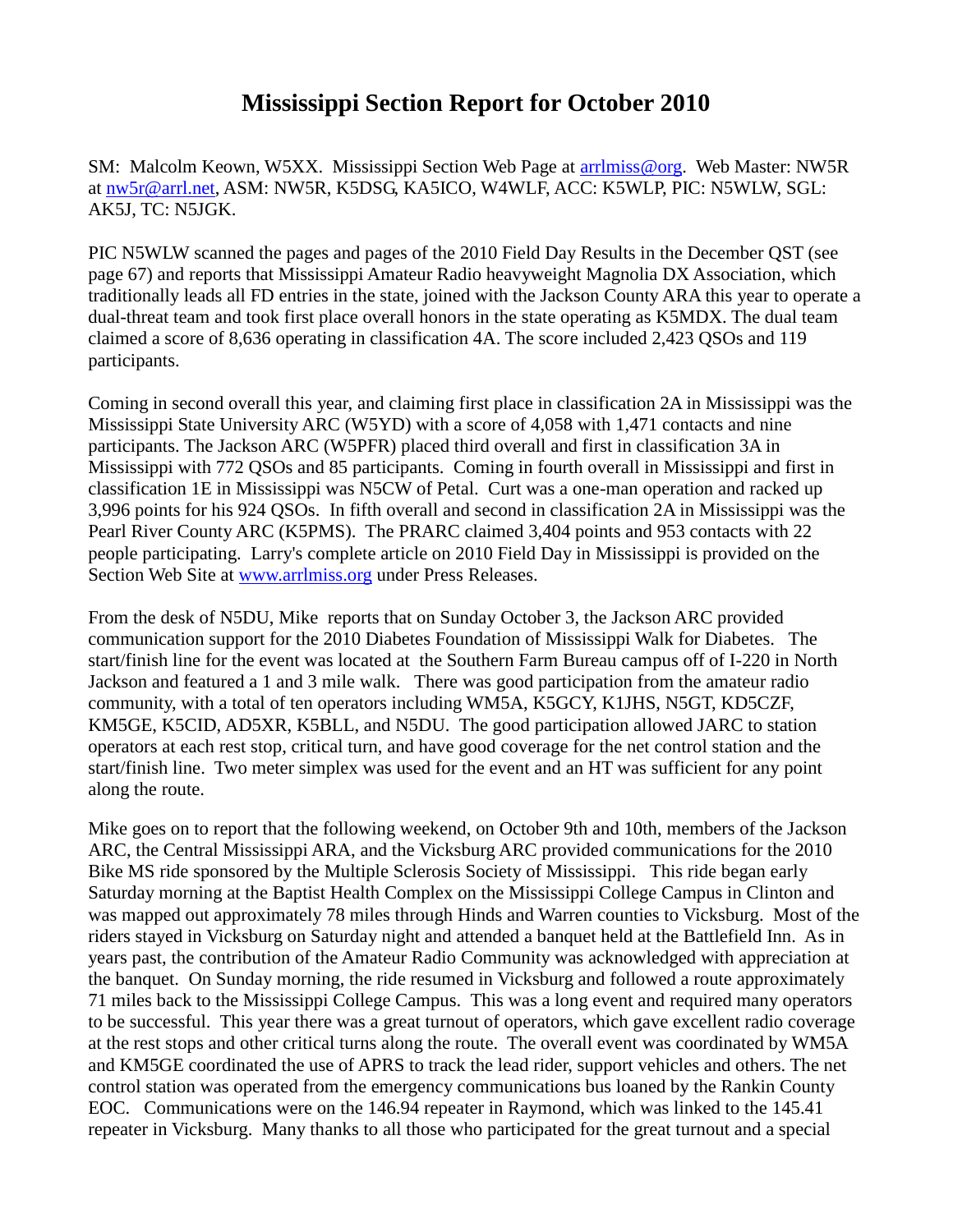## **Mississippi Section Report for October 2010**

SM: Malcolm Keown, W5XX. Mississippi Section Web Page at [arrlmiss@org.](mailto:arrlmiss@org) Web Master: NW5R at [nw5r@arrl.net,](mailto:nw5r@arrl.net) ASM: NW5R, K5DSG, KA5ICO, W4WLF, ACC: K5WLP, PIC: N5WLW, SGL: AK5J, TC: N5JGK.

PIC N5WLW scanned the pages and pages of the 2010 Field Day Results in the December QST (see page 67) and reports that Mississippi Amateur Radio heavyweight Magnolia DX Association, which traditionally leads all FD entries in the state, joined with the Jackson County ARA this year to operate a dual-threat team and took first place overall honors in the state operating as K5MDX. The dual team claimed a score of 8,636 operating in classification 4A. The score included 2,423 QSOs and 119 participants.

Coming in second overall this year, and claiming first place in classification 2A in Mississippi was the Mississippi State University ARC (W5YD) with a score of 4,058 with 1,471 contacts and nine participants. The Jackson ARC (W5PFR) placed third overall and first in classification 3A in Mississippi with 772 QSOs and 85 participants. Coming in fourth overall in Mississippi and first in classification 1E in Mississippi was N5CW of Petal. Curt was a one-man operation and racked up 3,996 points for his 924 QSOs. In fifth overall and second in classification 2A in Mississippi was the Pearl River County ARC (K5PMS). The PRARC claimed 3,404 points and 953 contacts with 22 people participating. Larry's complete article on 2010 Field Day in Mississippi is provided on the Section Web Site at [www.arrlmiss.org](http://www.arrlmiss.org/) under Press Releases.

From the desk of N5DU, Mike reports that on Sunday October 3, the Jackson ARC provided communication support for the 2010 Diabetes Foundation of Mississippi Walk for Diabetes. The start/finish line for the event was located at the Southern Farm Bureau campus off of I-220 in North Jackson and featured a 1 and 3 mile walk. There was good participation from the amateur radio community, with a total of ten operators including WM5A, K5GCY, K1JHS, N5GT, KD5CZF, KM5GE, K5CID, AD5XR, K5BLL, and N5DU. The good participation allowed JARC to station operators at each rest stop, critical turn, and have good coverage for the net control station and the start/finish line. Two meter simplex was used for the event and an HT was sufficient for any point along the route.

Mike goes on to report that the following weekend, on October 9th and 10th, members of the Jackson ARC, the Central Mississippi ARA, and the Vicksburg ARC provided communications for the 2010 Bike MS ride sponsored by the Multiple Sclerosis Society of Mississippi. This ride began early Saturday morning at the Baptist Health Complex on the Mississippi College Campus in Clinton and was mapped out approximately 78 miles through Hinds and Warren counties to Vicksburg. Most of the riders stayed in Vicksburg on Saturday night and attended a banquet held at the Battlefield Inn. As in years past, the contribution of the Amateur Radio Community was acknowledged with appreciation at the banquet. On Sunday morning, the ride resumed in Vicksburg and followed a route approximately 71 miles back to the Mississippi College Campus. This was a long event and required many operators to be successful. This year there was a great turnout of operators, which gave excellent radio coverage at the rest stops and other critical turns along the route. The overall event was coordinated by WM5A and KM5GE coordinated the use of APRS to track the lead rider, support vehicles and others. The net control station was operated from the emergency communications bus loaned by the Rankin County EOC. Communications were on the 146.94 repeater in Raymond, which was linked to the 145.41 repeater in Vicksburg. Many thanks to all those who participated for the great turnout and a special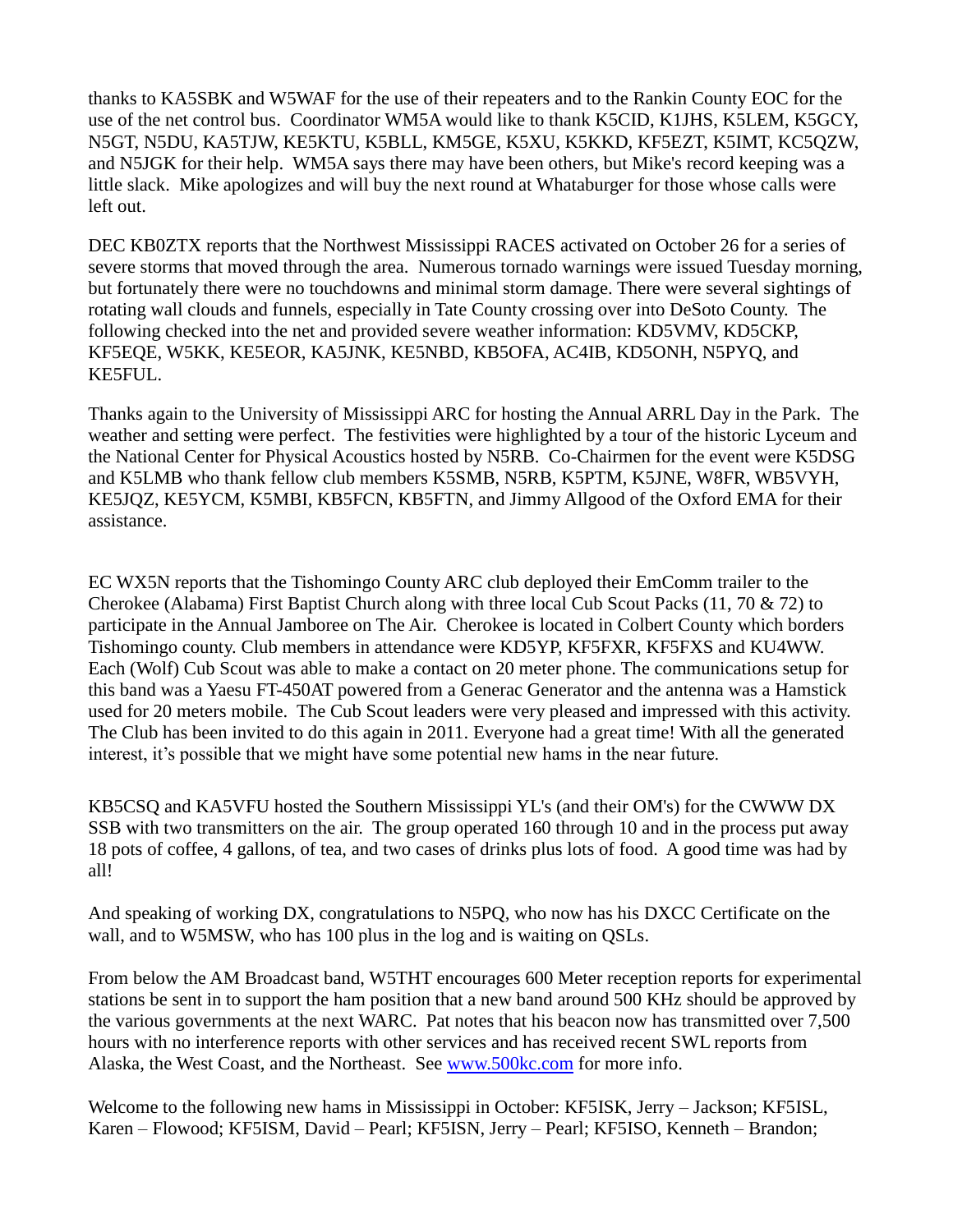thanks to KA5SBK and W5WAF for the use of their repeaters and to the Rankin County EOC for the use of the net control bus. Coordinator WM5A would like to thank K5CID, K1JHS, K5LEM, K5GCY, N5GT, N5DU, KA5TJW, KE5KTU, K5BLL, KM5GE, K5XU, K5KKD, KF5EZT, K5IMT, KC5QZW, and N5JGK for their help. WM5A says there may have been others, but Mike's record keeping was a little slack. Mike apologizes and will buy the next round at Whataburger for those whose calls were left out.

DEC KB0ZTX reports that the Northwest Mississippi RACES activated on October 26 for a series of severe storms that moved through the area. Numerous tornado warnings were issued Tuesday morning, but fortunately there were no touchdowns and minimal storm damage. There were several sightings of rotating wall clouds and funnels, especially in Tate County crossing over into DeSoto County. The following checked into the net and provided severe weather information: KD5VMV, KD5CKP, KF5EQE, W5KK, KE5EOR, KA5JNK, KE5NBD, KB5OFA, AC4IB, KD5ONH, N5PYQ, and KE5FUL.

Thanks again to the University of Mississippi ARC for hosting the Annual ARRL Day in the Park. The weather and setting were perfect. The festivities were highlighted by a tour of the historic Lyceum and the National Center for Physical Acoustics hosted by N5RB. Co-Chairmen for the event were K5DSG and K5LMB who thank fellow club members K5SMB, N5RB, K5PTM, K5JNE, W8FR, WB5VYH, KE5JQZ, KE5YCM, K5MBI, KB5FCN, KB5FTN, and Jimmy Allgood of the Oxford EMA for their assistance.

EC WX5N reports that the Tishomingo County ARC club deployed their EmComm trailer to the Cherokee (Alabama) First Baptist Church along with three local Cub Scout Packs (11, 70  $\&$  72) to participate in the Annual Jamboree on The Air. Cherokee is located in Colbert County which borders Tishomingo county. Club members in attendance were KD5YP, KF5FXR, KF5FXS and KU4WW. Each (Wolf) Cub Scout was able to make a contact on 20 meter phone. The communications setup for this band was a Yaesu FT-450AT powered from a Generac Generator and the antenna was a Hamstick used for 20 meters mobile. The Cub Scout leaders were very pleased and impressed with this activity. The Club has been invited to do this again in 2011. Everyone had a great time! With all the generated interest, it's possible that we might have some potential new hams in the near future.

KB5CSQ and KA5VFU hosted the Southern Mississippi YL's (and their OM's) for the CWWW DX SSB with two transmitters on the air. The group operated 160 through 10 and in the process put away 18 pots of coffee, 4 gallons, of tea, and two cases of drinks plus lots of food. A good time was had by all!

And speaking of working DX, congratulations to N5PQ, who now has his DXCC Certificate on the wall, and to W5MSW, who has 100 plus in the log and is waiting on QSLs.

From below the AM Broadcast band, W5THT encourages 600 Meter reception reports for experimental stations be sent in to support the ham position that a new band around 500 KHz should be approved by the various governments at the next WARC. Pat notes that his beacon now has transmitted over 7,500 hours with no interference reports with other services and has received recent SWL reports from Alaska, the West Coast, and the Northeast. See [www.500kc.com](http://www.500kc.com/) for more info.

Welcome to the following new hams in Mississippi in October: KF5ISK, Jerry – Jackson; KF5ISL, Karen – Flowood; KF5ISM, David – Pearl; KF5ISN, Jerry – Pearl; KF5ISO, Kenneth – Brandon;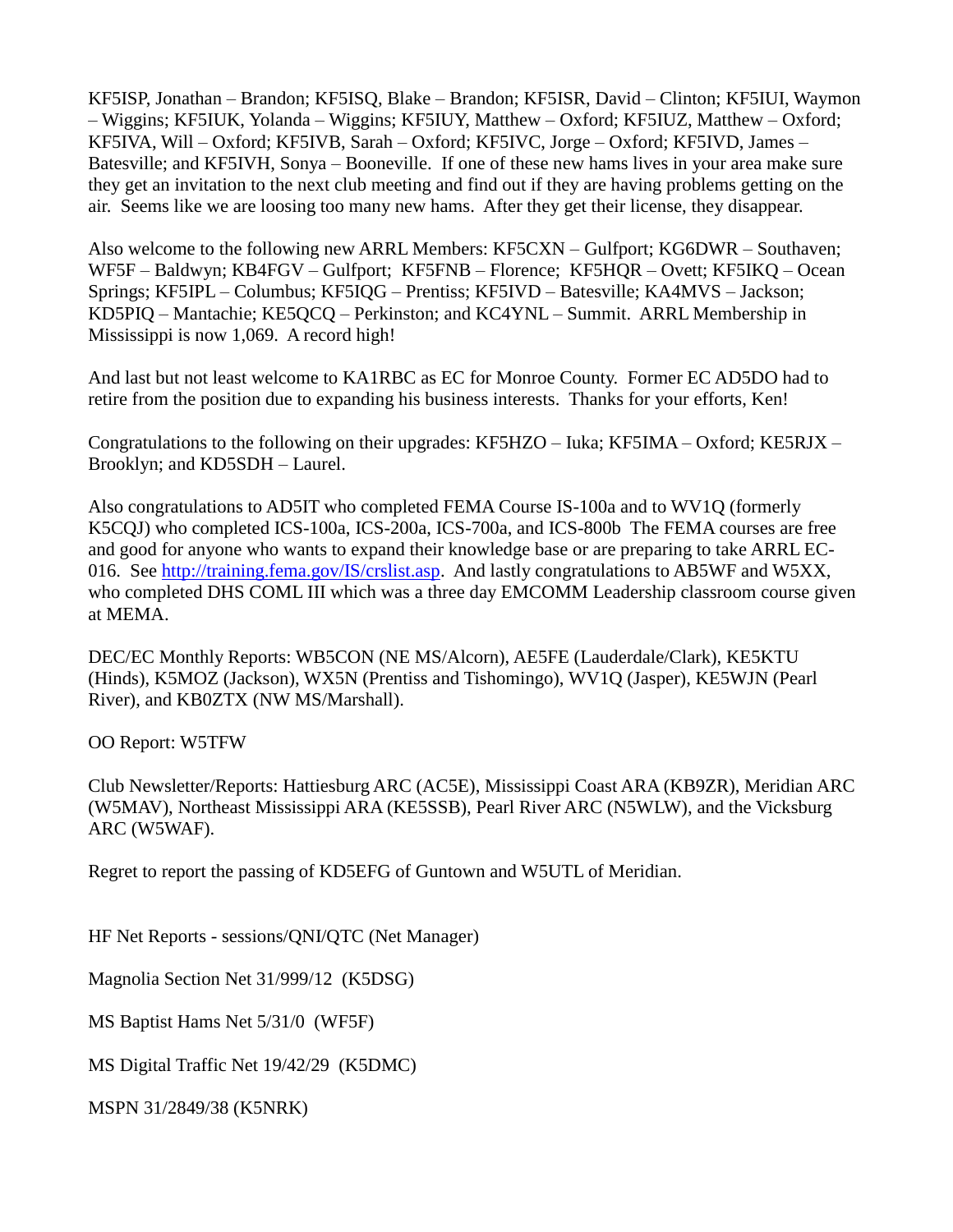KF5ISP, Jonathan – Brandon; KF5ISQ, Blake – Brandon; KF5ISR, David – Clinton; KF5IUI, Waymon – Wiggins; KF5IUK, Yolanda – Wiggins; KF5IUY, Matthew – Oxford; KF5IUZ, Matthew – Oxford; KF5IVA, Will – Oxford; KF5IVB, Sarah – Oxford; KF5IVC, Jorge – Oxford; KF5IVD, James – Batesville; and KF5IVH, Sonya – Booneville. If one of these new hams lives in your area make sure they get an invitation to the next club meeting and find out if they are having problems getting on the air. Seems like we are loosing too many new hams. After they get their license, they disappear.

Also welcome to the following new ARRL Members: KF5CXN – Gulfport; KG6DWR – Southaven; WF5F – Baldwyn; KB4FGV – Gulfport; KF5FNB – Florence; KF5HQR – Ovett; KF5IKQ – Ocean Springs; KF5IPL – Columbus; KF5IQG – Prentiss; KF5IVD – Batesville; KA4MVS – Jackson; KD5PIQ – Mantachie; KE5QCQ – Perkinston; and KC4YNL – Summit. ARRL Membership in Mississippi is now 1,069. A record high!

And last but not least welcome to KA1RBC as EC for Monroe County. Former EC AD5DO had to retire from the position due to expanding his business interests. Thanks for your efforts, Ken!

Congratulations to the following on their upgrades: KF5HZO – Iuka; KF5IMA – Oxford; KE5RJX – Brooklyn; and KD5SDH – Laurel.

Also congratulations to AD5IT who completed FEMA Course IS-100a and to WV1Q (formerly K5CQJ) who completed ICS-100a, ICS-200a, ICS-700a, and ICS-800b The FEMA courses are free and good for anyone who wants to expand their knowledge base or are preparing to take ARRL EC-016. See [http://training.fema.gov/IS/crslist.asp.](http://training.fema.gov/IS/crslist.asp) And lastly congratulations to AB5WF and W5XX, who completed DHS COML III which was a three day EMCOMM Leadership classroom course given at MEMA.

DEC/EC Monthly Reports: WB5CON (NE MS/Alcorn), AE5FE (Lauderdale/Clark), KE5KTU (Hinds), K5MOZ (Jackson), WX5N (Prentiss and Tishomingo), WV1Q (Jasper), KE5WJN (Pearl River), and KB0ZTX (NW MS/Marshall).

OO Report: W5TFW

Club Newsletter/Reports: Hattiesburg ARC (AC5E), Mississippi Coast ARA (KB9ZR), Meridian ARC (W5MAV), Northeast Mississippi ARA (KE5SSB), Pearl River ARC (N5WLW), and the Vicksburg ARC (W5WAF).

Regret to report the passing of KD5EFG of Guntown and W5UTL of Meridian.

HF Net Reports - sessions/QNI/QTC (Net Manager)

Magnolia Section Net 31/999/12 (K5DSG)

MS Baptist Hams Net 5/31/0 (WF5F)

MS Digital Traffic Net 19/42/29 (K5DMC)

MSPN 31/2849/38 (K5NRK)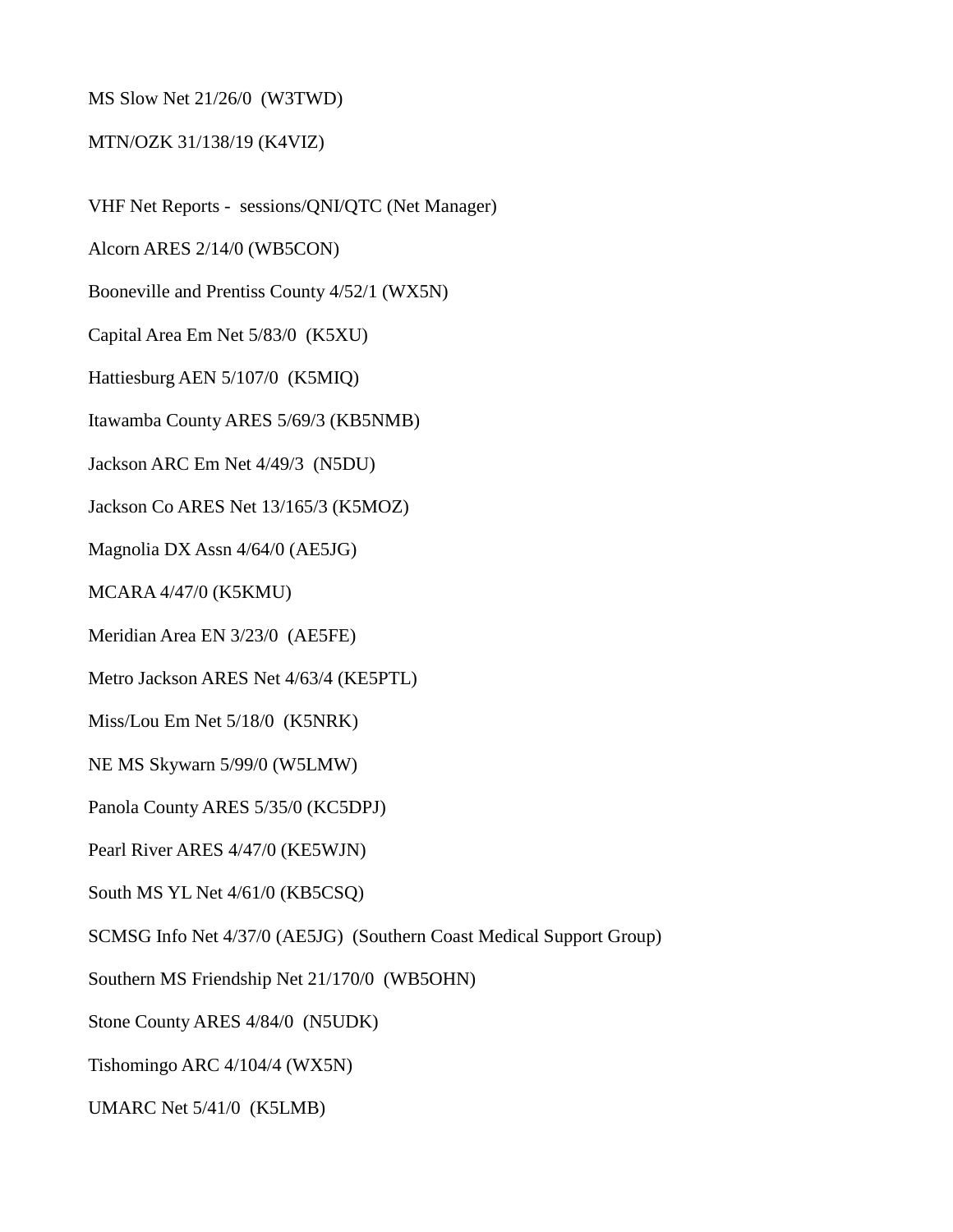MS Slow Net 21/26/0 (W3TWD)

## MTN/OZK 31/138/19 (K4VIZ)

VHF Net Reports - sessions/QNI/QTC (Net Manager)

Alcorn ARES 2/14/0 (WB5CON)

Booneville and Prentiss County 4/52/1 (WX5N)

Capital Area Em Net 5/83/0 (K5XU)

Hattiesburg AEN 5/107/0 (K5MIQ)

Itawamba County ARES 5/69/3 (KB5NMB)

Jackson ARC Em Net 4/49/3 (N5DU)

Jackson Co ARES Net 13/165/3 (K5MOZ)

Magnolia DX Assn 4/64/0 (AE5JG)

MCARA 4/47/0 (K5KMU)

Meridian Area EN 3/23/0 (AE5FE)

Metro Jackson ARES Net 4/63/4 (KE5PTL)

Miss/Lou Em Net 5/18/0 (K5NRK)

NE MS Skywarn 5/99/0 (W5LMW)

Panola County ARES 5/35/0 (KC5DPJ)

Pearl River ARES 4/47/0 (KE5WJN)

South MS YL Net 4/61/0 (KB5CSQ)

SCMSG Info Net 4/37/0 (AE5JG) (Southern Coast Medical Support Group)

Southern MS Friendship Net 21/170/0 (WB5OHN)

Stone County ARES 4/84/0 (N5UDK)

Tishomingo ARC 4/104/4 (WX5N)

UMARC Net 5/41/0 (K5LMB)